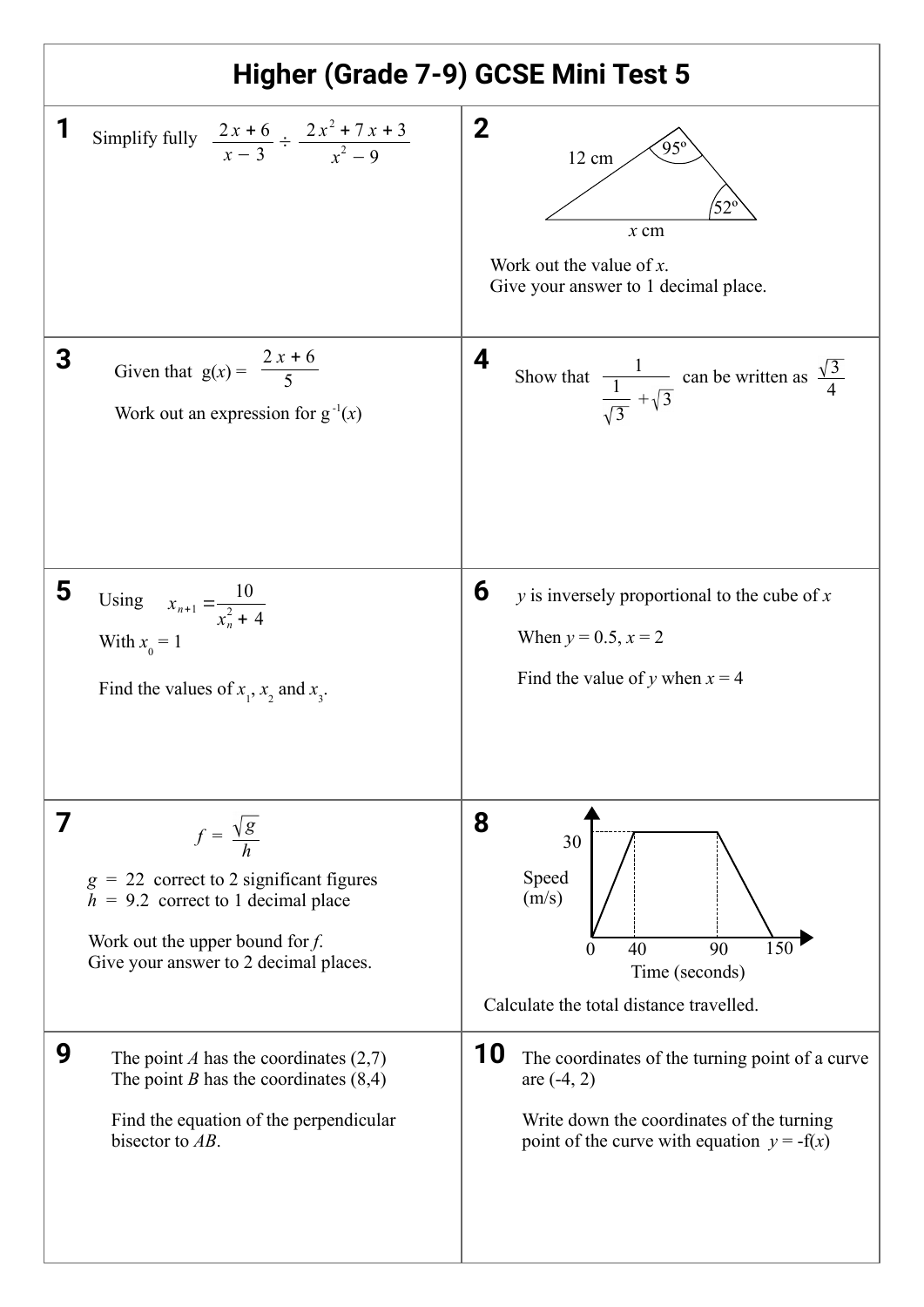| Higher (Grade 7-9) GCSE Mini Test 5 |                                                                                                                                                                                              |                                                                                                                                                                     |
|-------------------------------------|----------------------------------------------------------------------------------------------------------------------------------------------------------------------------------------------|---------------------------------------------------------------------------------------------------------------------------------------------------------------------|
|                                     | Simplify fully $\frac{2x+6}{x-3} \div \frac{2x^2+7x+3}{x^2-9}$                                                                                                                               | $\mathbf 2$<br>12 cm<br>$52^{\circ}$<br>$x$ cm<br>Work out the value of $x$ .<br>Give your answer to 1 decimal place.                                               |
| 3                                   | Given that $g(x) = \frac{2x+6}{5}$<br>Work out an expression for $g^{-1}(x)$                                                                                                                 | 4<br>Show that $\frac{1}{\sqrt{3}} + \sqrt{3}$ can be written as $\frac{\sqrt{3}}{4}$                                                                               |
| 5                                   | Using $x_{n+1} = \frac{10}{x_{n+1}^2 + 4}$<br>With $x_0 = 1$<br>Find the values of $x_1$ , $x_2$ and $x_3$ .                                                                                 | 6<br>$y$ is inversely proportional to the cube of $x$<br>When $y = 0.5$ , $x = 2$<br>Find the value of y when $x = 4$                                               |
| 7                                   | $f = \frac{\sqrt{g}}{h}$<br>$g = 22$ correct to 2 significant figures<br>$h = 9.2$ correct to 1 decimal place<br>Work out the upper bound for $f$ .<br>Give your answer to 2 decimal places. | 8<br>30<br>Speed<br>(m/s)<br>$\overline{150}$<br>90<br>40<br>$\theta$<br>Time (seconds)<br>Calculate the total distance travelled.                                  |
| 9                                   | The point A has the coordinates $(2,7)$<br>The point <i>B</i> has the coordinates $(8,4)$<br>Find the equation of the perpendicular<br>bisector to $AB$ .                                    | 10<br>The coordinates of the turning point of a curve<br>are $(-4, 2)$<br>Write down the coordinates of the turning<br>point of the curve with equation $y = -f(x)$ |